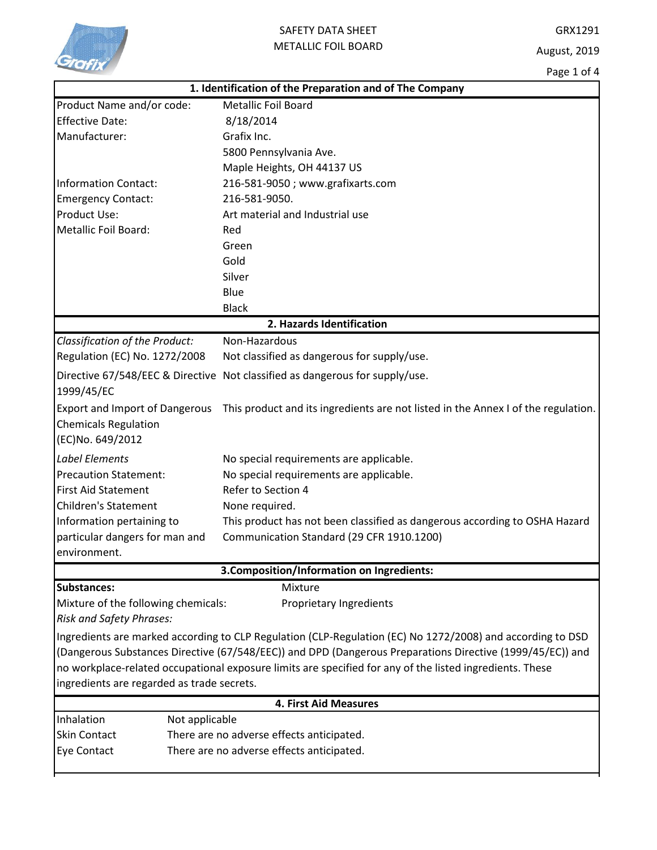

Page 1 of 4

|                                                          | 1. Identification of the Preparation and of The Company                                                    |  |  |  |
|----------------------------------------------------------|------------------------------------------------------------------------------------------------------------|--|--|--|
| Product Name and/or code:                                | <b>Metallic Foil Board</b>                                                                                 |  |  |  |
| <b>Effective Date:</b>                                   | 8/18/2014                                                                                                  |  |  |  |
| Manufacturer:                                            | Grafix Inc.                                                                                                |  |  |  |
|                                                          | 5800 Pennsylvania Ave.                                                                                     |  |  |  |
|                                                          | Maple Heights, OH 44137 US                                                                                 |  |  |  |
| <b>Information Contact:</b>                              | 216-581-9050; www.grafixarts.com                                                                           |  |  |  |
| <b>Emergency Contact:</b>                                | 216-581-9050.                                                                                              |  |  |  |
| Product Use:                                             | Art material and Industrial use                                                                            |  |  |  |
| Metallic Foil Board:                                     | Red                                                                                                        |  |  |  |
|                                                          | Green                                                                                                      |  |  |  |
|                                                          | Gold                                                                                                       |  |  |  |
|                                                          | Silver                                                                                                     |  |  |  |
|                                                          | Blue                                                                                                       |  |  |  |
|                                                          | <b>Black</b>                                                                                               |  |  |  |
|                                                          | 2. Hazards Identification                                                                                  |  |  |  |
| Classification of the Product:                           | Non-Hazardous                                                                                              |  |  |  |
| Regulation (EC) No. 1272/2008                            | Not classified as dangerous for supply/use.                                                                |  |  |  |
| 1999/45/EC                                               | Directive 67/548/EEC & Directive Not classified as dangerous for supply/use.                               |  |  |  |
| <b>Export and Import of Dangerous</b>                    | This product and its ingredients are not listed in the Annex I of the regulation.                          |  |  |  |
| <b>Chemicals Regulation</b>                              |                                                                                                            |  |  |  |
| (EC)No. 649/2012                                         |                                                                                                            |  |  |  |
| <b>Label Elements</b>                                    | No special requirements are applicable.                                                                    |  |  |  |
| <b>Precaution Statement:</b>                             | No special requirements are applicable.                                                                    |  |  |  |
| <b>First Aid Statement</b>                               | Refer to Section 4                                                                                         |  |  |  |
| <b>Children's Statement</b>                              | None required.                                                                                             |  |  |  |
| Information pertaining to                                | This product has not been classified as dangerous according to OSHA Hazard                                 |  |  |  |
| particular dangers for man and                           | Communication Standard (29 CFR 1910.1200)                                                                  |  |  |  |
| environment.                                             |                                                                                                            |  |  |  |
| 3. Composition/Information on Ingredients:               |                                                                                                            |  |  |  |
| Substances:                                              | Mixture                                                                                                    |  |  |  |
| Mixture of the following chemicals:                      | Proprietary Ingredients                                                                                    |  |  |  |
| Risk and Safety Phrases:                                 |                                                                                                            |  |  |  |
|                                                          | Ingredients are marked according to CLP Regulation (CLP-Regulation (EC) No 1272/2008) and according to DSD |  |  |  |
|                                                          | (Dangerous Substances Directive (67/548/EEC)) and DPD (Dangerous Preparations Directive (1999/45/EC)) and  |  |  |  |
|                                                          | no workplace-related occupational exposure limits are specified for any of the listed ingredients. These   |  |  |  |
| ingredients are regarded as trade secrets.               |                                                                                                            |  |  |  |
|                                                          | <b>4. First Aid Measures</b>                                                                               |  |  |  |
| Inhalation                                               | Not applicable                                                                                             |  |  |  |
| <b>Skin Contact</b>                                      | There are no adverse effects anticipated.                                                                  |  |  |  |
| There are no adverse effects anticipated.<br>Eye Contact |                                                                                                            |  |  |  |
|                                                          |                                                                                                            |  |  |  |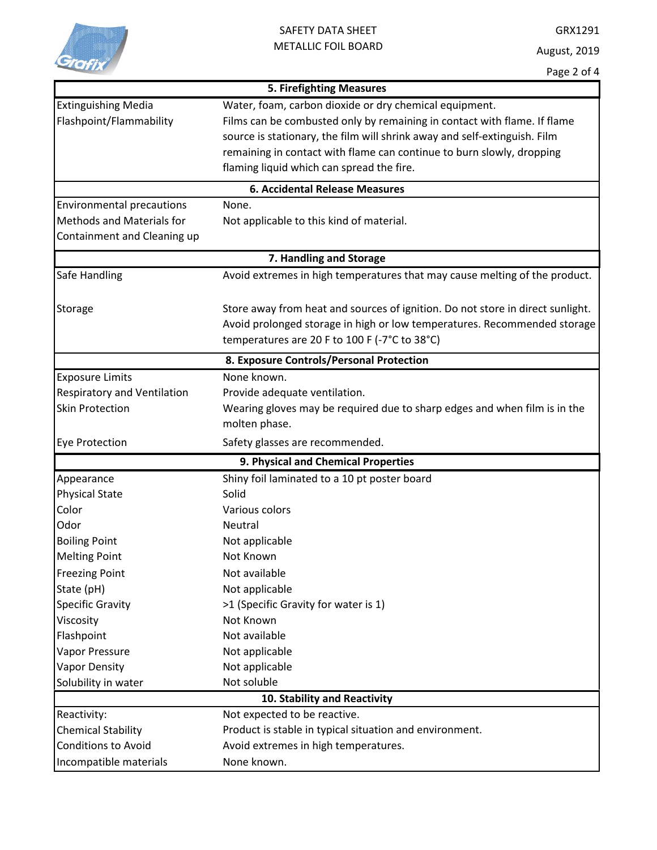

GRX1291 August, 2019

|                                          | <b>5. Firefighting Measures</b>                                                |  |  |  |  |
|------------------------------------------|--------------------------------------------------------------------------------|--|--|--|--|
| <b>Extinguishing Media</b>               | Water, foam, carbon dioxide or dry chemical equipment.                         |  |  |  |  |
| Flashpoint/Flammability                  | Films can be combusted only by remaining in contact with flame. If flame       |  |  |  |  |
|                                          | source is stationary, the film will shrink away and self-extinguish. Film      |  |  |  |  |
|                                          | remaining in contact with flame can continue to burn slowly, dropping          |  |  |  |  |
|                                          | flaming liquid which can spread the fire.                                      |  |  |  |  |
|                                          | <b>6. Accidental Release Measures</b>                                          |  |  |  |  |
| <b>Environmental precautions</b>         | None.                                                                          |  |  |  |  |
| Methods and Materials for                | Not applicable to this kind of material.                                       |  |  |  |  |
| Containment and Cleaning up              |                                                                                |  |  |  |  |
| 7. Handling and Storage                  |                                                                                |  |  |  |  |
| Safe Handling                            | Avoid extremes in high temperatures that may cause melting of the product.     |  |  |  |  |
|                                          |                                                                                |  |  |  |  |
| Storage                                  | Store away from heat and sources of ignition. Do not store in direct sunlight. |  |  |  |  |
|                                          | Avoid prolonged storage in high or low temperatures. Recommended storage       |  |  |  |  |
|                                          | temperatures are 20 F to 100 F (-7°C to 38°C)                                  |  |  |  |  |
| 8. Exposure Controls/Personal Protection |                                                                                |  |  |  |  |
| <b>Exposure Limits</b>                   | None known.                                                                    |  |  |  |  |
| <b>Respiratory and Ventilation</b>       | Provide adequate ventilation.                                                  |  |  |  |  |
| <b>Skin Protection</b>                   | Wearing gloves may be required due to sharp edges and when film is in the      |  |  |  |  |
|                                          | molten phase.                                                                  |  |  |  |  |
| <b>Eye Protection</b>                    | Safety glasses are recommended.                                                |  |  |  |  |
|                                          | 9. Physical and Chemical Properties                                            |  |  |  |  |
| Appearance                               | Shiny foil laminated to a 10 pt poster board                                   |  |  |  |  |
| <b>Physical State</b>                    | Solid                                                                          |  |  |  |  |
| Color                                    | Various colors                                                                 |  |  |  |  |
| Odor                                     | <b>Neutral</b>                                                                 |  |  |  |  |
| <b>Boiling Point</b>                     | Not applicable                                                                 |  |  |  |  |
| <b>Melting Point</b>                     | Not Known                                                                      |  |  |  |  |
| <b>Freezing Point</b>                    | Not available                                                                  |  |  |  |  |
| State (pH)                               | Not applicable                                                                 |  |  |  |  |
| <b>Specific Gravity</b>                  | >1 (Specific Gravity for water is 1)                                           |  |  |  |  |
| Viscosity                                | Not Known                                                                      |  |  |  |  |
| Flashpoint                               | Not available                                                                  |  |  |  |  |
| Vapor Pressure                           | Not applicable                                                                 |  |  |  |  |
| <b>Vapor Density</b>                     | Not applicable                                                                 |  |  |  |  |
| Solubility in water                      | Not soluble                                                                    |  |  |  |  |
| 10. Stability and Reactivity             |                                                                                |  |  |  |  |
| Reactivity:                              | Not expected to be reactive.                                                   |  |  |  |  |
| <b>Chemical Stability</b>                | Product is stable in typical situation and environment.                        |  |  |  |  |
| <b>Conditions to Avoid</b>               | Avoid extremes in high temperatures.                                           |  |  |  |  |
| Incompatible materials                   | None known.                                                                    |  |  |  |  |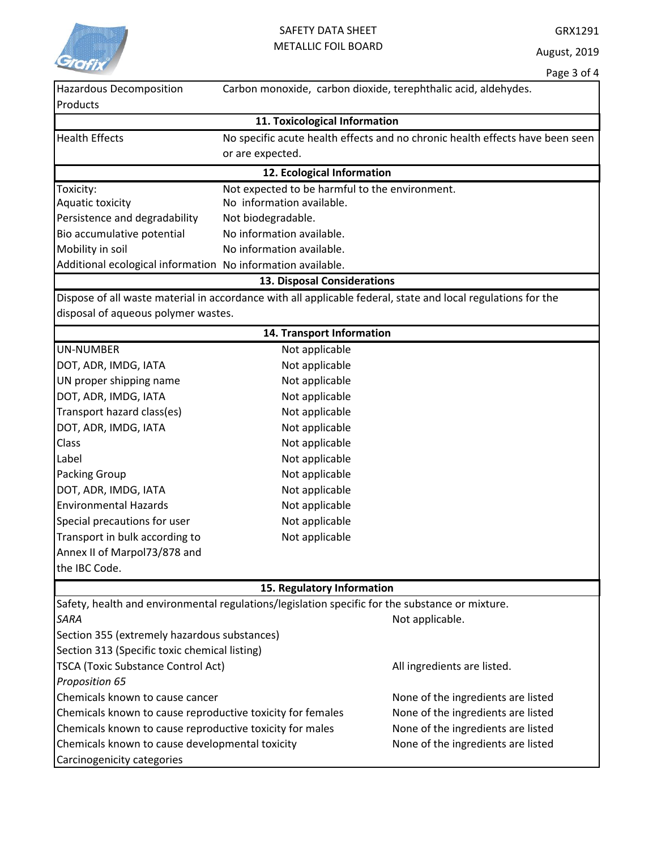

|                                                                                                 |                                                | Page 3 OF 4                                                                                                  |
|-------------------------------------------------------------------------------------------------|------------------------------------------------|--------------------------------------------------------------------------------------------------------------|
| <b>Hazardous Decomposition</b><br>Products                                                      |                                                | Carbon monoxide, carbon dioxide, terephthalic acid, aldehydes.                                               |
|                                                                                                 | 11. Toxicological Information                  |                                                                                                              |
| <b>Health Effects</b>                                                                           |                                                | No specific acute health effects and no chronic health effects have been seen                                |
|                                                                                                 | or are expected.                               |                                                                                                              |
|                                                                                                 | 12. Ecological Information                     |                                                                                                              |
| Toxicity:                                                                                       | Not expected to be harmful to the environment. |                                                                                                              |
| Aquatic toxicity                                                                                | No information available.                      |                                                                                                              |
| Persistence and degradability                                                                   | Not biodegradable.                             |                                                                                                              |
| Bio accumulative potential                                                                      | No information available.                      |                                                                                                              |
| Mobility in soil                                                                                | No information available.                      |                                                                                                              |
| Additional ecological information No information available.                                     |                                                |                                                                                                              |
|                                                                                                 | 13. Disposal Considerations                    |                                                                                                              |
|                                                                                                 |                                                | Dispose of all waste material in accordance with all applicable federal, state and local regulations for the |
| disposal of aqueous polymer wastes.                                                             |                                                |                                                                                                              |
|                                                                                                 | 14. Transport Information                      |                                                                                                              |
| <b>UN-NUMBER</b>                                                                                | Not applicable                                 |                                                                                                              |
| DOT, ADR, IMDG, IATA                                                                            | Not applicable                                 |                                                                                                              |
| UN proper shipping name                                                                         | Not applicable                                 |                                                                                                              |
| DOT, ADR, IMDG, IATA                                                                            | Not applicable                                 |                                                                                                              |
| Transport hazard class(es)                                                                      | Not applicable                                 |                                                                                                              |
| DOT, ADR, IMDG, IATA                                                                            | Not applicable                                 |                                                                                                              |
| <b>Class</b>                                                                                    | Not applicable                                 |                                                                                                              |
| Label                                                                                           | Not applicable                                 |                                                                                                              |
| <b>Packing Group</b>                                                                            | Not applicable                                 |                                                                                                              |
| DOT, ADR, IMDG, IATA                                                                            | Not applicable                                 |                                                                                                              |
| <b>Environmental Hazards</b>                                                                    | Not applicable                                 |                                                                                                              |
| Special precautions for user                                                                    | Not applicable                                 |                                                                                                              |
| Transport in bulk according to                                                                  | Not applicable                                 |                                                                                                              |
| Annex II of Marpol73/878 and                                                                    |                                                |                                                                                                              |
| the IBC Code.                                                                                   |                                                |                                                                                                              |
|                                                                                                 | 15. Regulatory Information                     |                                                                                                              |
| Safety, health and environmental regulations/legislation specific for the substance or mixture. |                                                |                                                                                                              |
| <b>SARA</b>                                                                                     |                                                | Not applicable.                                                                                              |
| Section 355 (extremely hazardous substances)                                                    |                                                |                                                                                                              |
| Section 313 (Specific toxic chemical listing)                                                   |                                                |                                                                                                              |
| <b>TSCA (Toxic Substance Control Act)</b>                                                       |                                                | All ingredients are listed.                                                                                  |
| Proposition 65                                                                                  |                                                |                                                                                                              |
| Chemicals known to cause cancer                                                                 |                                                | None of the ingredients are listed                                                                           |
| Chemicals known to cause reproductive toxicity for females                                      |                                                | None of the ingredients are listed                                                                           |
| Chemicals known to cause reproductive toxicity for males                                        |                                                | None of the ingredients are listed                                                                           |
| Chemicals known to cause developmental toxicity                                                 |                                                | None of the ingredients are listed                                                                           |
| Carcinogenicity categories                                                                      |                                                |                                                                                                              |